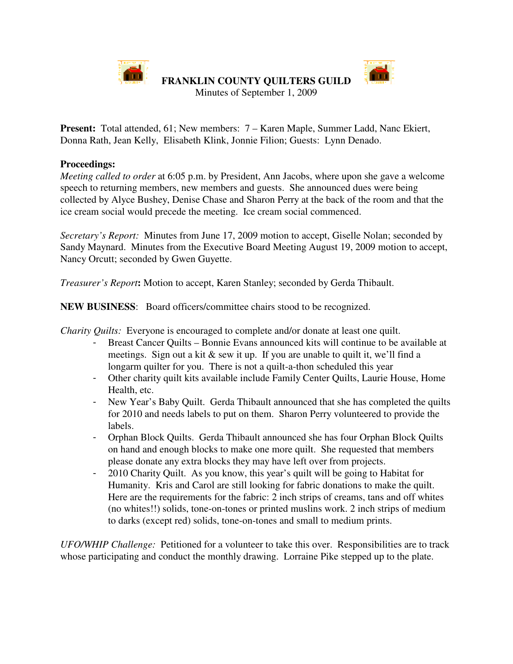

n m

Minutes of September 1, 2009

**Present:** Total attended, 61; New members: 7 – Karen Maple, Summer Ladd, Nanc Ekiert, Donna Rath, Jean Kelly, Elisabeth Klink, Jonnie Filion; Guests: Lynn Denado.

# **Proceedings:**

*Meeting called to order* at 6:05 p.m. by President, Ann Jacobs, where upon she gave a welcome speech to returning members, new members and guests. She announced dues were being collected by Alyce Bushey, Denise Chase and Sharon Perry at the back of the room and that the ice cream social would precede the meeting. Ice cream social commenced.

*Secretary's Report:* Minutes from June 17, 2009 motion to accept, Giselle Nolan; seconded by Sandy Maynard. Minutes from the Executive Board Meeting August 19, 2009 motion to accept, Nancy Orcutt; seconded by Gwen Guyette.

*Treasurer's Report***:** Motion to accept, Karen Stanley; seconded by Gerda Thibault.

**NEW BUSINESS**: Board officers/committee chairs stood to be recognized.

*Charity Quilts:* Everyone is encouraged to complete and/or donate at least one quilt.

- Breast Cancer Quilts Bonnie Evans announced kits will continue to be available at meetings. Sign out a kit & sew it up. If you are unable to quilt it, we'll find a longarm quilter for you. There is not a quilt-a-thon scheduled this year
- Other charity quilt kits available include Family Center Quilts, Laurie House, Home Health, etc.
- New Year's Baby Quilt. Gerda Thibault announced that she has completed the quilts for 2010 and needs labels to put on them. Sharon Perry volunteered to provide the labels.
- Orphan Block Quilts. Gerda Thibault announced she has four Orphan Block Quilts on hand and enough blocks to make one more quilt. She requested that members please donate any extra blocks they may have left over from projects.
- 2010 Charity Quilt. As you know, this year's quilt will be going to Habitat for Humanity. Kris and Carol are still looking for fabric donations to make the quilt. Here are the requirements for the fabric: 2 inch strips of creams, tans and off whites (no whites!!) solids, tone-on-tones or printed muslins work. 2 inch strips of medium to darks (except red) solids, tone-on-tones and small to medium prints.

*UFO/WHIP Challenge:* Petitioned for a volunteer to take this over. Responsibilities are to track whose participating and conduct the monthly drawing. Lorraine Pike stepped up to the plate.